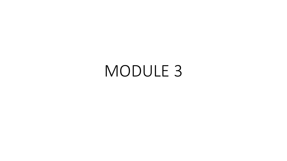# MODULE 3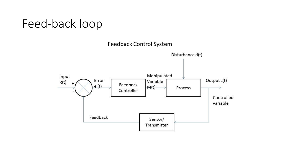#### Feed-back loop

Feedback Control System

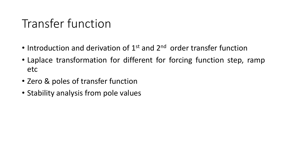## Transfer function

- Introduction and derivation of 1<sup>st</sup> and 2<sup>nd</sup> order transfer function
- Laplace transformation for different for forcing function step, ramp etc
- Zero & poles of transfer function
- Stability analysis from pole values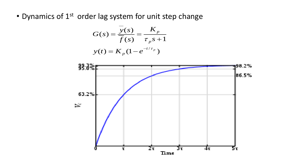• Dynamics of 1<sup>st</sup> order lag system for unit step change

$$
G(s) = \frac{\overline{y}(s)}{\overline{f}(s)} = \frac{K_p}{\tau_p s + 1}
$$

$$
y(t) = K_p (1 - e^{-t/\tau_p})
$$

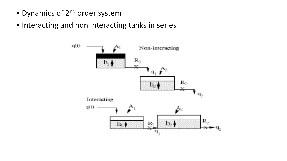- Dynamics of 2<sup>nd</sup> order system
- Interacting and non interacting tanks in series

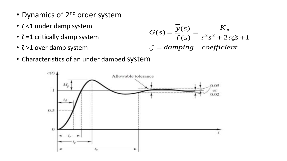- Dynamics of 2<sup>nd</sup> order system
- ζ <1 under damp system
- $\cdot$  ζ =1 critically damp system
- ζ >1 over damp system

$$
G(s) = \frac{y(s)}{\overline{f}(s)} = \frac{K_p}{\tau^2 s^2 + 2\tau \zeta s + 1}
$$
  

$$
\zeta = damping \underline{\hspace{2cm}} \underline{\hspace{2cm}} \underline{\hspace{2cm}} \underline{\hspace{2cm}} \underline{\hspace{2cm}} \underline{\hspace{2cm}} \underline{\hspace{2cm}} \underline{\hspace{2cm}} \underline{\hspace{2cm}} \underline{\hspace{2cm}} \underline{\hspace{2cm}} \underline{\hspace{2cm}} \underline{\hspace{2cm}} \underline{\hspace{2cm}} \underline{\hspace{2cm}} \underline{\hspace{2cm}} \underline{\hspace{2cm}} \underline{\hspace{2cm}} \underline{\hspace{2cm}} \underline{\hspace{2cm}} \underline{\hspace{2cm}} \underline{\hspace{2cm}} \underline{\hspace{2cm}} \underline{\hspace{2cm}} \underline{\hspace{2cm}} \underline{\hspace{2cm}} \underline{\hspace{2cm}} \underline{\hspace{2cm}} \underline{\hspace{2cm}} \underline{\hspace{2cm}} \underline{\hspace{2cm}} \underline{\hspace{2cm}} \underline{\hspace{2cm}} \underline{\hspace{2cm}} \underline{\hspace{2cm}} \underline{\hspace{2cm}} \underline{\hspace{2cm}} \underline{\hspace{2cm}} \underline{\hspace{2cm}} \underline{\hspace{2cm}} \underline{\hspace{2cm}} \underline{\hspace{2cm}} \underline{\hspace{2cm}} \underline{\hspace{2cm}} \underline{\hspace{2cm}} \underline{\hspace{2cm}} \underline{\hspace{2cm}} \underline{\hspace{2cm}} \underline{\hspace{2cm}} \underline{\hspace{2cm}} \underline{\hspace{2cm}} \underline{\hspace{2cm}} \underline{\hspace{2cm}} \underline{\hspace{2cm}} \underline{\hspace{2cm}} \underline{\hspace{2cm}} \underline{\hspace{2cm}} \underline{\hspace{2cm}} \underline{\hspace{2cm}} \underline{\hspace{2cm}} \underline{\hspace{2cm}} \underline{\hspace{2cm}} \underline{\hspace{2cm}} \underline{\hspace{2cm}} \underline{\hspace{2cm}} \underline{\hspace{2cm}} \underline{\hspace{2cm}} \underline{\hspace{2cm}} \underline{\hspace{2cm}} \underline{\hspace{2cm}} \underline{\hspace{2cm}} \underline{\hspace{2cm}} \underline{\hspace{2cm}} \underline{\hspace{2cm}} \underline{\hspace{2cm}} \underline{\hspace{2cm}} \underline{\hspace{2cm}} \underline{\hspace{2cm
$$

• Characteristics of an under damped system

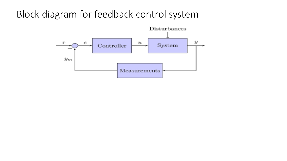#### Block diagram for feedback control system

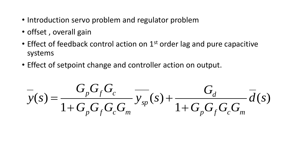- Introduction servo problem and regulator problem
- offset, overall gain
- Effect of feedback control action on  $1<sup>st</sup>$  order lag and pure capacitive systems
- Effect of setpoint change and controller action on output.

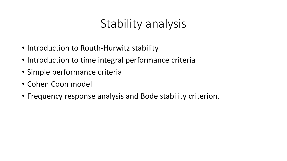### Stability analysis

- Introduction to Routh-Hurwitz stability
- Introduction to time integral performance criteria
- Simple performance criteria
- Cohen Coon model
- Frequency response analysis and Bode stability criterion.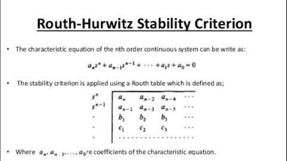# **Routh-Hurwitz Stability Criterion**

The characteristic equation of the nth order continuous system can be write as:

$$
a_n s^n + a_{n-1} s^{n-1} + \cdots + a_1 s + a_0 = 0
$$

The stability criterion is applied using a Routh table which is defined as;

$$
\begin{bmatrix}\na_{n} & a_{n-2} & a_{n-4} & \cdots \\
a_{n-1} & a_{n-3} & a_{n-5} & \cdots \\
b_1 & b_2 & b_3 & \cdots \\
c_1 & c_2 & c_3 & \cdots \\
\vdots & \vdots & \vdots & \ddots\n\end{bmatrix}
$$

 $a_0$ re coefficients of the characteristic equation. Where  $a_n$ ,  $a_n$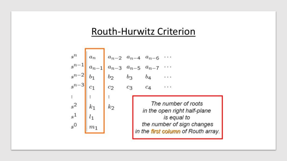#### Routh-Hurwitz Criterion

$$
s^{n}
$$
\n
$$
s^{n-1}
$$
\n
$$
s^{n-2}
$$
\n
$$
s^{n-3}
$$
\n
$$
s^{n-2}
$$
\n
$$
s^{n-3}
$$
\n
$$
s^{n-4}
$$
\n
$$
s^{n-5}
$$
\n
$$
s^{n-7}
$$
\n
$$
s^{n-2}
$$
\n
$$
s^{n-3}
$$
\n
$$
s^{n-2}
$$
\n
$$
s^{n-3}
$$
\n
$$
s^{n-2}
$$
\n
$$
s^{n-1}
$$
\n
$$
s^{n-2}
$$
\n
$$
s^{n-3}
$$
\n
$$
s^{n-2}
$$
\n
$$
s^{n-1}
$$
\n
$$
s^{n-2}
$$
\n
$$
s^{n-3}
$$
\n
$$
s^{n-2}
$$
\n
$$
s^{n-3}
$$
\n
$$
s^{n-4}
$$
\n
$$
s^{n-5}
$$
\n
$$
s^{n-6}
$$
\n
$$
s^{n-7}
$$
\n
$$
s^{n-2}
$$
\n
$$
s^{n-3}
$$
\n
$$
s^{n-2}
$$
\n
$$
s^{n-3}
$$
\n
$$
s^{n-4}
$$
\n
$$
s^{n-5}
$$
\n
$$
s^{n-6}
$$
\n
$$
s^{n-7}
$$
\n
$$
s^{n-8}
$$
\n
$$
s^{n-1}
$$
\n
$$
s^{n-1}
$$
\n
$$
s^{n-2}
$$
\n
$$
s^{n-3}
$$
\n
$$
s^{n-2}
$$
\n
$$
s^{n-1}
$$
\n
$$
s^{n-2}
$$
\n
$$
s^{n-1}
$$
\n
$$
s^{n-2}
$$
\n
$$
s^{n-1}
$$
\n
$$
s^{n-2}
$$
\n
$$
s^{n-1}
$$
\n
$$
s^{n-1}
$$
\n
$$
s^{n-2}
$$
\n
$$
s^{n-1}
$$
\n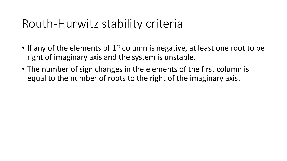### Routh-Hurwitz stability criteria

- If any of the elements of  $1<sup>st</sup>$  column is negative, at least one root to be right of imaginary axis and the system is unstable.
- The number of sign changes in the elements of the first column is equal to the number of roots to the right of the imaginary axis.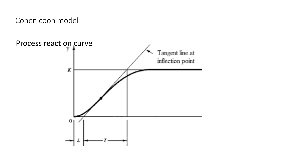Cohen coon model

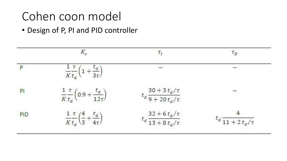## Cohen coon model

• Design of P, PI and PID controller

|            | $K_c$                                                          | $\tau_I$                                         | $\tau_D$                        |
|------------|----------------------------------------------------------------|--------------------------------------------------|---------------------------------|
| P          | $\frac{1}{K}\frac{\tau}{t_d}\left(1+\frac{t_d}{3\tau}\right)$  | التقطية ا                                        | 2                               |
| PI         | $rac{1}{K}\frac{\tau}{t_d}\left(0.9+\frac{t_d}{12\tau}\right)$ | $t_{d}\frac{30+3\,t_{d}/\tau}{9+20\,t_{d}/\tau}$ | 振楽                              |
| PID<br>923 | $rac{1}{K} \frac{\tau}{t_d} \left(\frac{4}{3}\right)$<br>$t_d$ | $t_{d}\frac{32+6\,t_{d}/\tau}{13+8\,t_{d}/\tau}$ | $t_d$ $\frac{11 + 2 t_d}{\tau}$ |